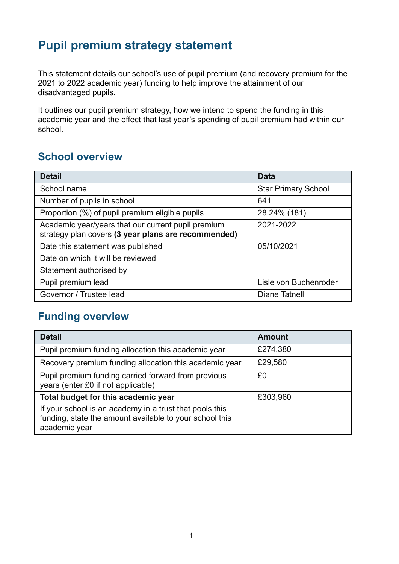# **Pupil premium strategy statement**

This statement details our school's use of pupil premium (and recovery premium for the 2021 to 2022 academic year) funding to help improve the attainment of our disadvantaged pupils.

It outlines our pupil premium strategy, how we intend to spend the funding in this academic year and the effect that last year's spending of pupil premium had within our school.

# **School overview**

| <b>Detail</b>                                                                                             | <b>Data</b>                |
|-----------------------------------------------------------------------------------------------------------|----------------------------|
| School name                                                                                               | <b>Star Primary School</b> |
| Number of pupils in school                                                                                | 641                        |
| Proportion (%) of pupil premium eligible pupils                                                           | 28.24% (181)               |
| Academic year/years that our current pupil premium<br>strategy plan covers (3 year plans are recommended) | 2021-2022                  |
| Date this statement was published                                                                         | 05/10/2021                 |
| Date on which it will be reviewed                                                                         |                            |
| Statement authorised by                                                                                   |                            |
| Pupil premium lead                                                                                        | Lisle von Buchenroder      |
| Governor / Trustee lead                                                                                   | Diane Tatnell              |

## **Funding overview**

| <b>Detail</b>                                                                                                                       | <b>Amount</b> |
|-------------------------------------------------------------------------------------------------------------------------------------|---------------|
| Pupil premium funding allocation this academic year                                                                                 | £274,380      |
| Recovery premium funding allocation this academic year                                                                              | £29,580       |
| Pupil premium funding carried forward from previous<br>years (enter £0 if not applicable)                                           | £0            |
| Total budget for this academic year                                                                                                 | £303,960      |
| If your school is an academy in a trust that pools this<br>funding, state the amount available to your school this<br>academic year |               |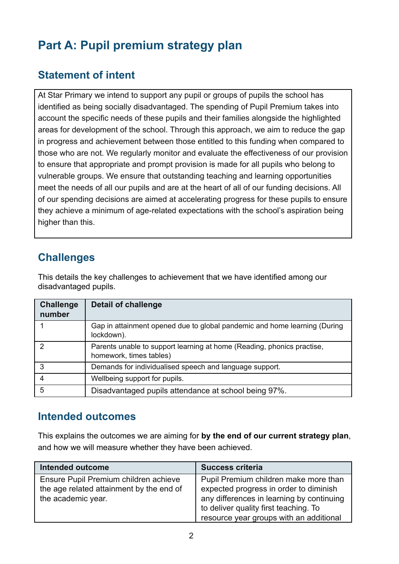# **Part A: Pupil premium strategy plan**

## **Statement of intent**

At Star Primary we intend to support any pupil or groups of pupils the school has identified as being socially disadvantaged. The spending of Pupil Premium takes into account the specific needs of these pupils and their families alongside the highlighted areas for development of the school. Through this approach, we aim to reduce the gap in progress and achievement between those entitled to this funding when compared to those who are not. We regularly monitor and evaluate the effectiveness of our provision to ensure that appropriate and prompt provision is made for all pupils who belong to vulnerable groups. We ensure that outstanding teaching and learning opportunities meet the needs of all our pupils and are at the heart of all of our funding decisions. All of our spending decisions are aimed at accelerating progress for these pupils to ensure they achieve a minimum of age-related expectations with the school's aspiration being higher than this.

## **Challenges**

This details the key challenges to achievement that we have identified among our disadvantaged pupils.

| <b>Challenge</b><br>number | <b>Detail of challenge</b>                                                                        |
|----------------------------|---------------------------------------------------------------------------------------------------|
|                            | Gap in attainment opened due to global pandemic and home learning (During<br>lockdown).           |
| 2                          | Parents unable to support learning at home (Reading, phonics practise,<br>homework, times tables) |
| 3                          | Demands for individualised speech and language support.                                           |
| 4                          | Wellbeing support for pupils.                                                                     |
| 5                          | Disadvantaged pupils attendance at school being 97%.                                              |

#### **Intended outcomes**

This explains the outcomes we are aiming for **by the end of our current strategy plan**, and how we will measure whether they have been achieved.

| <b>Intended outcome</b>                  | <b>Success criteria</b>                   |
|------------------------------------------|-------------------------------------------|
| Ensure Pupil Premium children achieve    | Pupil Premium children make more than     |
| the age related attainment by the end of | expected progress in order to diminish    |
| the academic year.                       | any differences in learning by continuing |
|                                          | to deliver quality first teaching. To     |
|                                          | resource year groups with an additional   |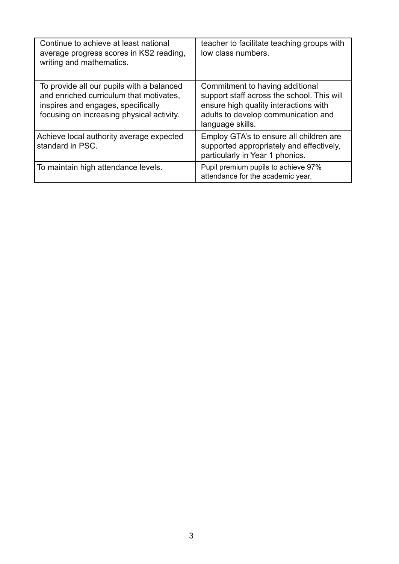| Continue to achieve at least national<br>average progress scores in KS2 reading,<br>writing and mathematics.                                                            | teacher to facilitate teaching groups with<br>low class numbers.                                                                                                                  |
|-------------------------------------------------------------------------------------------------------------------------------------------------------------------------|-----------------------------------------------------------------------------------------------------------------------------------------------------------------------------------|
| To provide all our pupils with a balanced<br>and enriched curriculum that motivates,<br>inspires and engages, specifically<br>focusing on increasing physical activity. | Commitment to having additional<br>support staff across the school. This will<br>ensure high quality interactions with<br>adults to develop communication and<br>language skills. |
| Achieve local authority average expected<br>standard in PSC.                                                                                                            | Employ GTA's to ensure all children are<br>supported appropriately and effectively,<br>particularly in Year 1 phonics.                                                            |
| To maintain high attendance levels.                                                                                                                                     | Pupil premium pupils to achieve 97%<br>attendance for the academic year.                                                                                                          |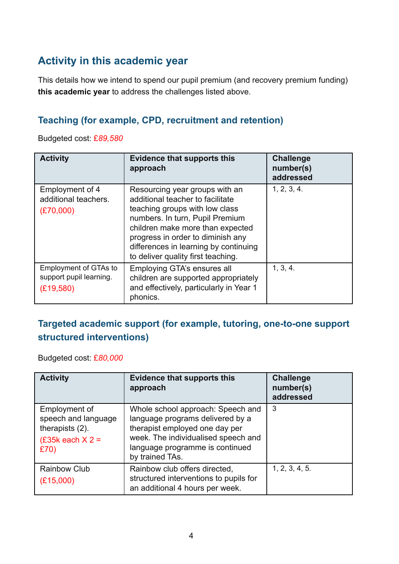# **Activity in this academic year**

This details how we intend to spend our pupil premium (and recovery premium funding) **this academic year** to address the challenges listed above.

#### **Teaching (for example, CPD, recruitment and retention)**

Budgeted cost: £*89,580*

| <b>Activity</b>                                               | <b>Evidence that supports this</b><br>approach                                                                                                                                                                                                                                                  | <b>Challenge</b><br>number(s)<br>addressed |
|---------------------------------------------------------------|-------------------------------------------------------------------------------------------------------------------------------------------------------------------------------------------------------------------------------------------------------------------------------------------------|--------------------------------------------|
| Employment of 4<br>additional teachers.<br>(E70,000)          | Resourcing year groups with an<br>additional teacher to facilitate<br>teaching groups with low class<br>numbers. In turn, Pupil Premium<br>children make more than expected<br>progress in order to diminish any<br>differences in learning by continuing<br>to deliver quality first teaching. | 1, 2, 3, 4.                                |
| Employment of GTAs to<br>support pupil learning.<br>(E19,580) | Employing GTA's ensures all<br>children are supported appropriately<br>and effectively, particularly in Year 1<br>phonics.                                                                                                                                                                      | 1, 3, 4.                                   |

#### **Targeted academic support (for example, tutoring, one-to-one support structured interventions)**

Budgeted cost: £*80,000*

| <b>Activity</b>                                                                         | <b>Evidence that supports this</b><br>approach                                                                                                                                                       | <b>Challenge</b><br>number(s)<br>addressed |
|-----------------------------------------------------------------------------------------|------------------------------------------------------------------------------------------------------------------------------------------------------------------------------------------------------|--------------------------------------------|
| Employment of<br>speech and language<br>therapists (2).<br>$(£35k$ each $X$ 2 =<br>£70) | Whole school approach: Speech and<br>language programs delivered by a<br>therapist employed one day per<br>week. The individualised speech and<br>language programme is continued<br>by trained TAs. | 3                                          |
| <b>Rainbow Club</b><br>(E15,000)                                                        | Rainbow club offers directed,<br>structured interventions to pupils for<br>an additional 4 hours per week.                                                                                           | 1, 2, 3, 4, 5.                             |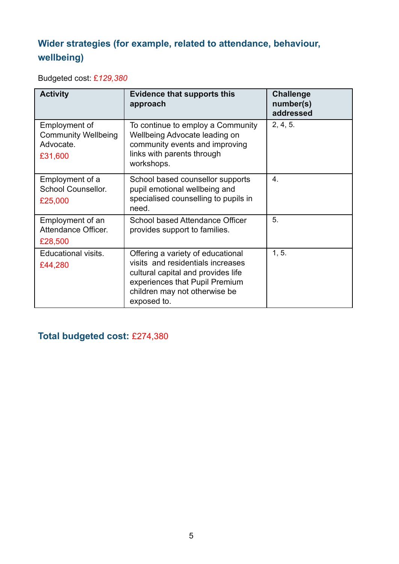# **Wider strategies (for example, related to attendance, behaviour, wellbeing)**

Budgeted cost: £*129,380*

| <b>Activity</b>                                                     | <b>Evidence that supports this</b><br>approach                                                                                                                                                 | <b>Challenge</b><br>number(s)<br>addressed |
|---------------------------------------------------------------------|------------------------------------------------------------------------------------------------------------------------------------------------------------------------------------------------|--------------------------------------------|
| Employment of<br><b>Community Wellbeing</b><br>Advocate.<br>£31,600 | To continue to employ a Community<br>Wellbeing Advocate leading on<br>community events and improving<br>links with parents through<br>workshops.                                               | 2, 4, 5.                                   |
| Employment of a<br><b>School Counsellor.</b><br>£25,000             | School based counsellor supports<br>pupil emotional wellbeing and<br>specialised counselling to pupils in<br>need.                                                                             | $\overline{4}$ .                           |
| Employment of an<br>Attendance Officer.<br>£28,500                  | School based Attendance Officer<br>provides support to families.                                                                                                                               | 5.                                         |
| Educational visits.<br>£44,280                                      | Offering a variety of educational<br>visits and residentials increases<br>cultural capital and provides life<br>experiences that Pupil Premium<br>children may not otherwise be<br>exposed to. | 1, 5.                                      |

**Total budgeted cost:** £274,380